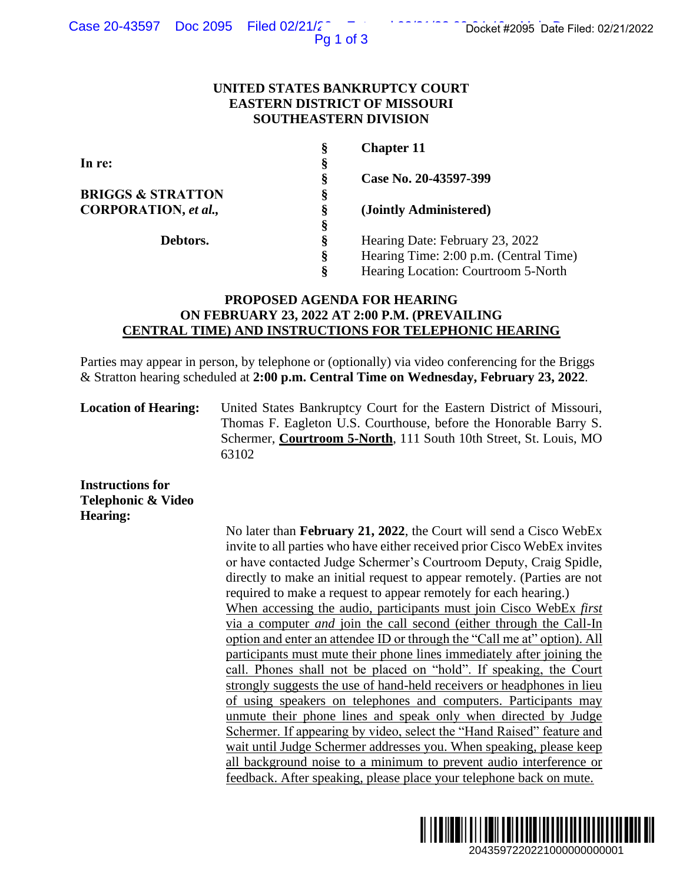Pg 1 of 3

## **UNITED STATES BANKRUPTCY COURT EASTERN DISTRICT OF MISSOURI SOUTHEASTERN DIVISION**

| Ş | <b>Chapter 11</b>                      |
|---|----------------------------------------|
| § |                                        |
| Ş | Case No. 20-43597-399                  |
| Ş |                                        |
| Ş | (Jointly Administered)                 |
| § |                                        |
| Ş | Hearing Date: February 23, 2022        |
| ş | Hearing Time: 2:00 p.m. (Central Time) |
| Ş | Hearing Location: Courtroom 5-North    |
|   |                                        |

# **PROPOSED AGENDA FOR HEARING ON FEBRUARY 23, 2022 AT 2:00 P.M. (PREVAILING CENTRAL TIME) AND INSTRUCTIONS FOR TELEPHONIC HEARING**

Parties may appear in person, by telephone or (optionally) via video conferencing for the Briggs & Stratton hearing scheduled at **2:00 p.m. Central Time on Wednesday, February 23, 2022**.

**Location of Hearing:** United States Bankruptcy Court for the Eastern District of Missouri, Thomas F. Eagleton U.S. Courthouse, before the Honorable Barry S. Schermer, **Courtroom 5-North**, 111 South 10th Street, St. Louis, MO 63102

**Instructions for Telephonic & Video Hearing:**

No later than **February 21, 2022**, the Court will send a Cisco WebEx invite to all parties who have either received prior Cisco WebEx invites or have contacted Judge Schermer's Courtroom Deputy, Craig Spidle, directly to make an initial request to appear remotely. (Parties are not required to make a request to appear remotely for each hearing.) When accessing the audio, participants must join Cisco WebEx *first*  via a computer *and* join the call second (either through the Call-In option and enter an attendee ID or through the "Call me at" option). All participants must mute their phone lines immediately after joining the call. Phones shall not be placed on "hold". If speaking, the Court strongly suggests the use of hand-held receivers or headphones in lieu of using speakers on telephones and computers. Participants may unmute their phone lines and speak only when directed by Judge Schermer. If appearing by video, select the "Hand Raised" feature and wait until Judge Schermer addresses you. When speaking, please keep all background noise to a minimum to prevent audio interference or feedback. After speaking, please place your telephone back on mute. 2043597220221/2022<br>
2043597220221/2022<br>
2043597220221<br>
20401 Pom. (Central Time)<br>
20401 Pom. (Central Time)<br>
20401 Pom. (Central Time)<br>
20401 Pom. (Central Time)<br>
20422.<br>
20422.<br>
20401 Docket, St. Louis, MO<br>
20401 Street,

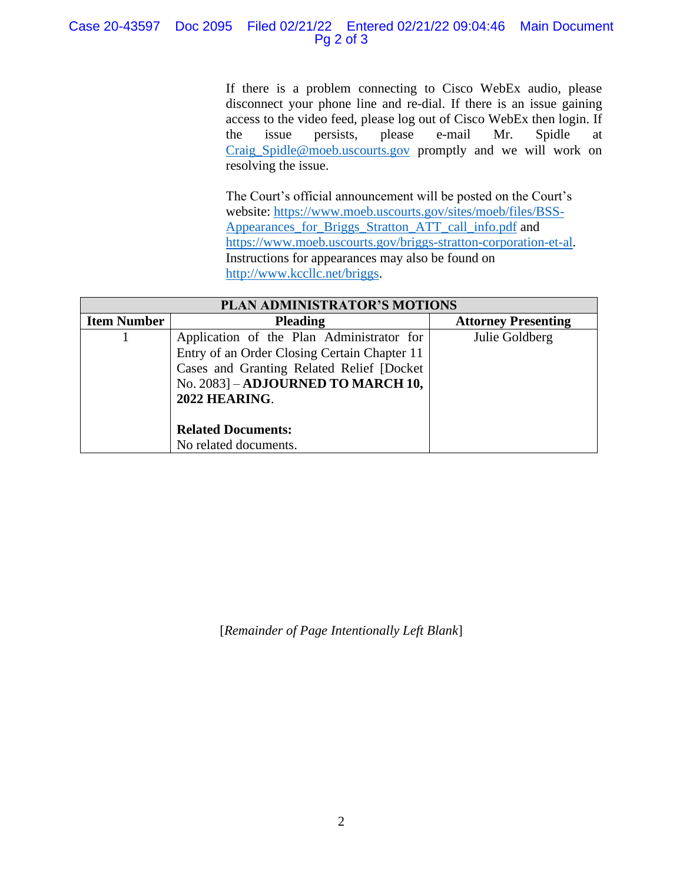## Case 20-43597 Doc 2095 Filed 02/21/22 Entered 02/21/22 09:04:46 Main Document Pg 2 of 3

If there is a problem connecting to Cisco WebEx audio, please disconnect your phone line and re-dial. If there is an issue gaining access to the video feed, please log out of Cisco WebEx then login. If the issue persists, please e-mail Mr. Spidle at [Craig\\_Spidle@moeb.uscourts.gov](mailto:Shontelle_McCoy@moeb.uscourts.gov) promptly and we will work on resolving the issue.

The Court's official announcement will be posted on the Court's website: [https://www.moeb.uscourts.gov/sites/moeb/files/BSS-](https://www.moeb.uscourts.gov/sites/moeb/files/BSS-Appearances_for_Briggs_Stratton_ATT_call_info.pdf)[Appearances\\_for\\_Briggs\\_Stratton\\_ATT\\_call\\_info.pdf](https://www.moeb.uscourts.gov/sites/moeb/files/BSS-Appearances_for_Briggs_Stratton_ATT_call_info.pdf) and [https://www.moeb.uscourts.gov/briggs-stratton-corporation-et-al.](https://www.moeb.uscourts.gov/briggs-stratton-corporation-et-al) Instructions for appearances may also be found on [http://www.kccllc.net/briggs.](http://www.kccllc.net/briggs)

| PLAN ADMINISTRATOR'S MOTIONS |                                              |                            |  |
|------------------------------|----------------------------------------------|----------------------------|--|
| <b>Item Number</b>           | <b>Pleading</b>                              | <b>Attorney Presenting</b> |  |
|                              | Application of the Plan Administrator for    | Julie Goldberg             |  |
|                              | Entry of an Order Closing Certain Chapter 11 |                            |  |
|                              | Cases and Granting Related Relief [Docket    |                            |  |
|                              | No. 2083] - ADJOURNED TO MARCH 10,           |                            |  |
|                              | 2022 HEARING.                                |                            |  |
|                              |                                              |                            |  |
|                              | <b>Related Documents:</b>                    |                            |  |
|                              | No related documents.                        |                            |  |

[*Remainder of Page Intentionally Left Blank*]